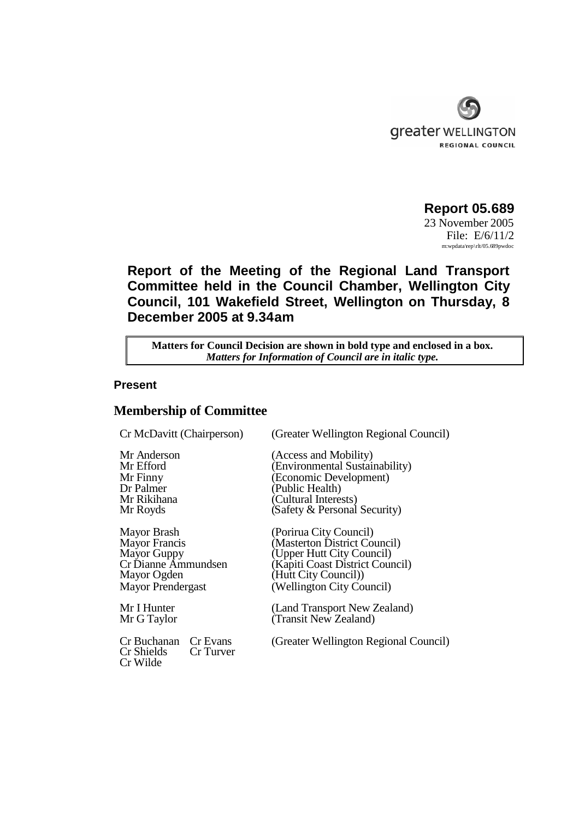

**Report 05.689** 23 November 2005 File: E/6/11/2 m:wpdata\rep\rlt/05.689pwdoc

# **Report of the Meeting of the Regional Land Transport Committee held in the Council Chamber, Wellington City Council, 101 Wakefield Street, Wellington on Thursday, 8 December 2005 at 9.34am**

**Matters for Council Decision are shown in bold type and enclosed in a box.** *Matters for Information of Council are in italic type.*

#### **Present**

## **Membership of Committee**

Mayor Ogden (Hutt City Council)

Cr Buchanan Cr Evans (Greater Wellington Regional Council) Cr Shields Cr Wilde

Cr McDavitt (Chairperson) (Greater Wellington Regional Council)

Mr Anderson (Access and Mobility)<br>Mr Efford (Environmental Sustair (Environmental Sustainability) Mr Finny (Economic Development)<br>Dr Palmer (Public Health) (Public Health) Mr Rikihana (Cultural Interests) Mr Royds **(Safety & Personal Security)** 

Mayor Brash (Porirua City Council)<br>Mayor Francis (Masterton District Co (Masterton District Council) Mayor Guppy (Upper Hutt City Council)<br>Cr Dianne Ammundsen (Kapiti Coast District Coun (Kapiti Coast District Council) Mayor Prendergast (Wellington City Council)

Mr I Hunter (Land Transport New Zealand) Mr G Taylor (Transit New Zealand)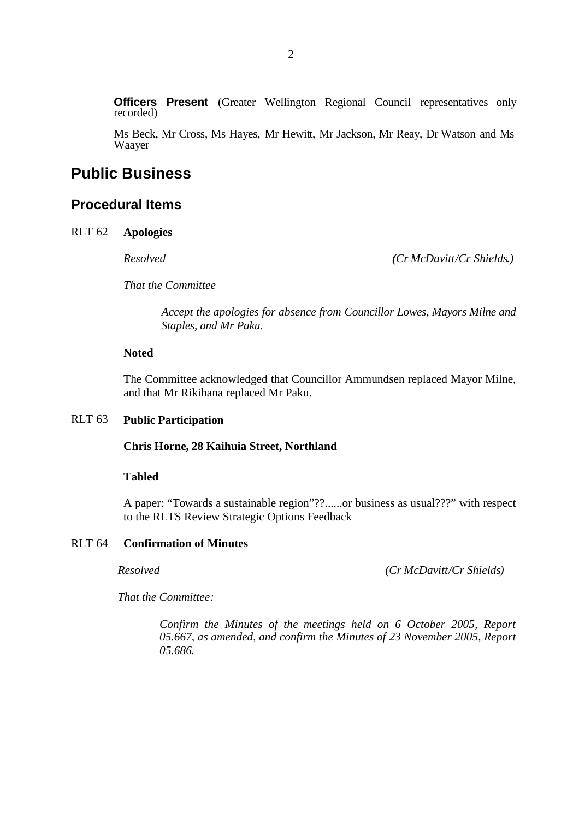**Officers Present** (Greater Wellington Regional Council representatives only recorded)

Ms Beck, Mr Cross, Ms Hayes, Mr Hewitt, Mr Jackson, Mr Reay, Dr Watson and Ms Waayer

# **Public Business**

## **Procedural Items**

RLT 62 **Apologies**

*Resolved (Cr McDavitt/Cr Shields.)*

*That the Committee*

*Accept the apologies for absence from Councillor Lowes, Mayors Milne and Staples, and Mr Paku.*

#### **Noted**

The Committee acknowledged that Councillor Ammundsen replaced Mayor Milne, and that Mr Rikihana replaced Mr Paku.

## RLT 63 **Public Participation**

#### **Chris Horne, 28 Kaihuia Street, Northland**

#### **Tabled**

A paper: "Towards a sustainable region"??......or business as usual???" with respect to the RLTS Review Strategic Options Feedback

## RLT 64 **Confirmation of Minutes**

*Resolved (Cr McDavitt/Cr Shields)*

*That the Committee:*

*Confirm the Minutes of the meetings held on 6 October 2005, Report 05.667, as amended, and confirm the Minutes of 23 November 2005, Report 05.686.*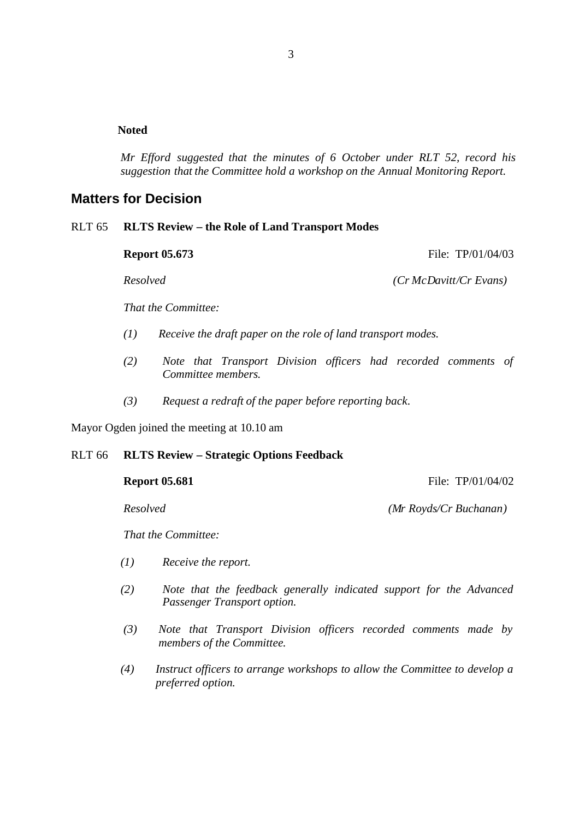## **Noted**

*Mr Efford suggested that the minutes of 6 October under RLT 52, record his suggestion that the Committee hold a workshop on the Annual Monitoring Report.*

# **Matters for Decision**

## RLT 65 **RLTS Review – the Role of Land Transport Modes**

**Report 05.673** File: TP/01/04/03

*Resolved (Cr McDavitt/Cr Evans)*

*That the Committee:*

- *(1) Receive the draft paper on the role of land transport modes.*
- *(2) Note that Transport Division officers had recorded comments of Committee members.*
- *(3) Request a redraft of the paper before reporting back.*

Mayor Ogden joined the meeting at 10.10 am

## RLT 66 **RLTS Review – Strategic Options Feedback**

**Report 05.681** File: TP/01/04/02

*Resolved (Mr Royds/Cr Buchanan)*

*That the Committee:*

- *(1) Receive the report.*
- *(2) Note that the feedback generally indicated support for the Advanced Passenger Transport option.*
- *(3) Note that Transport Division officers recorded comments made by members of the Committee.*
- *(4) Instruct officers to arrange workshops to allow the Committee to develop a preferred option.*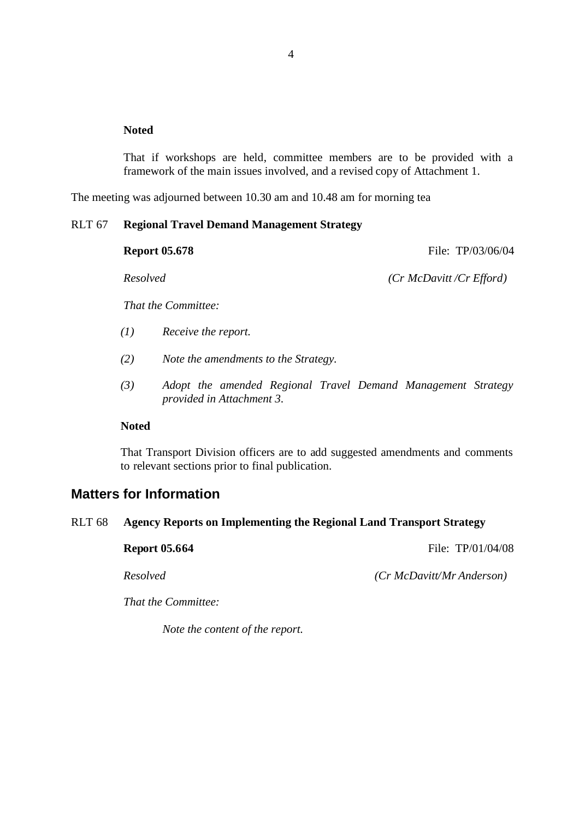### **Noted**

That if workshops are held, committee members are to be provided with a framework of the main issues involved, and a revised copy of Attachment 1.

The meeting was adjourned between 10.30 am and 10.48 am for morning tea

#### RLT 67 **Regional Travel Demand Management Strategy**

| <b>Report 05.678</b> |                                      | File: TP/03/06/04            |
|----------------------|--------------------------------------|------------------------------|
| Resolved             |                                      | $(Cr$ McDavitt/ $Cr$ Efford) |
|                      | That the Committee:                  |                              |
| (I)                  | Receive the report.                  |                              |
| (2)                  | Note the amendments to the Strategy. |                              |

*(3) Adopt the amended Regional Travel Demand Management Strategy provided in Attachment 3.*

#### **Noted**

That Transport Division officers are to add suggested amendments and comments to relevant sections prior to final publication.

## **Matters for Information**

## RLT 68 **Agency Reports on Implementing the Regional Land Transport Strategy**

**Report 05.664** File: TP/01/04/08

*Resolved (Cr McDavitt/Mr Anderson)*

*That the Committee:*

*Note the content of the report.*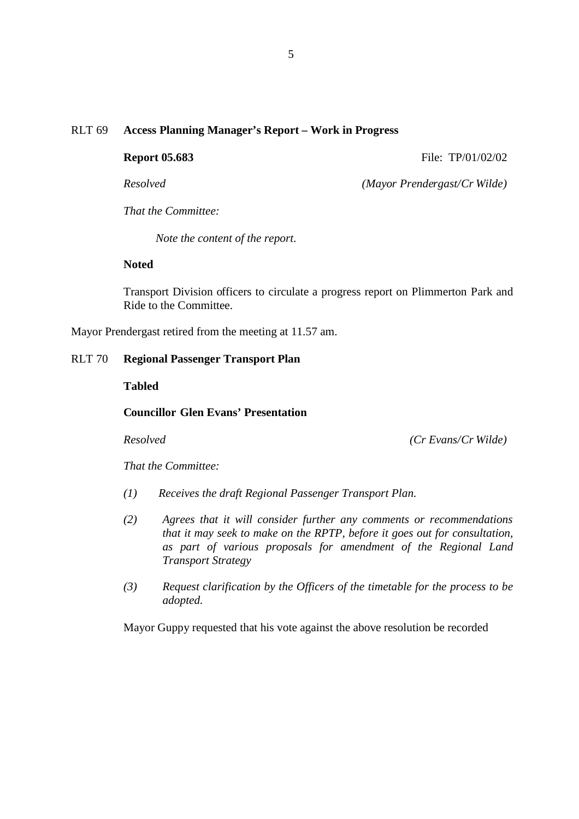### RLT 69 **Access Planning Manager's Report – Work in Progress**

**Report 05.683** File: TP/01/02/02

*Resolved (Mayor Prendergast/Cr Wilde)*

*That the Committee:*

*Note the content of the report.*

#### **Noted**

Transport Division officers to circulate a progress report on Plimmerton Park and Ride to the Committee.

Mayor Prendergast retired from the meeting at 11.57 am.

#### RLT 70 **Regional Passenger Transport Plan**

#### **Tabled**

#### **Councillor Glen Evans' Presentation**

*Resolved (Cr Evans/Cr Wilde)*

*That the Committee:*

- *(1) Receives the draft Regional Passenger Transport Plan.*
- *(2) Agrees that it will consider further any comments or recommendations that it may seek to make on the RPTP, before it goes out for consultation, as part of various proposals for amendment of the Regional Land Transport Strategy*
- *(3) Request clarification by the Officers of the timetable for the process to be adopted.*

Mayor Guppy requested that his vote against the above resolution be recorded